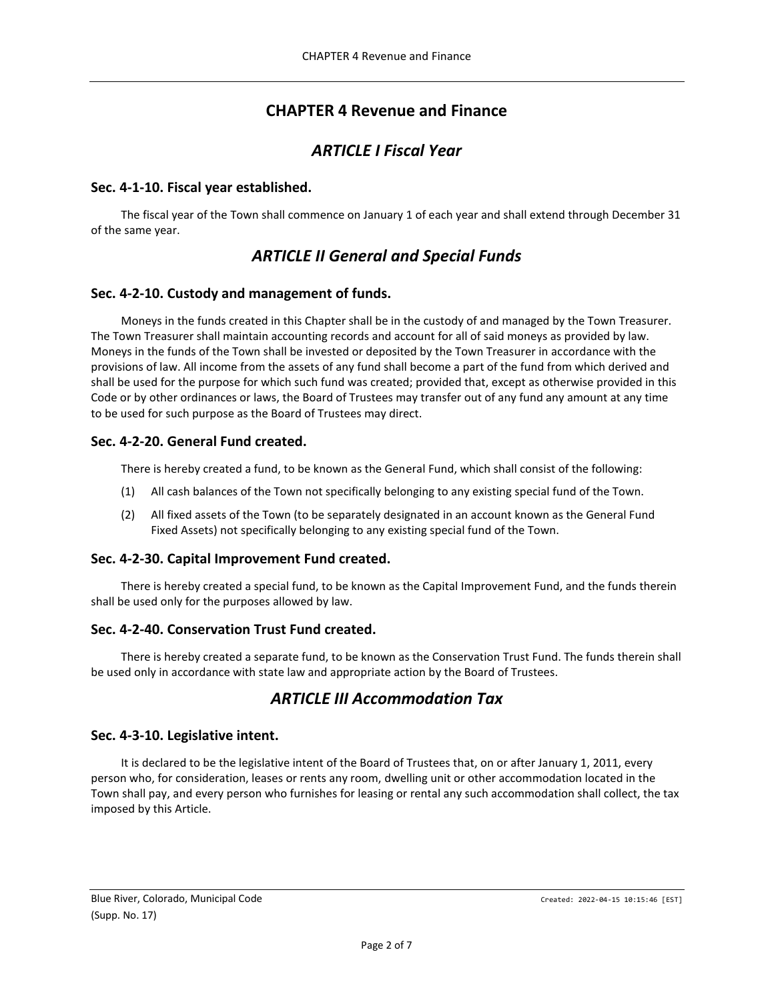# **CHAPTER 4 Revenue and Finance**

# *ARTICLE I Fiscal Year*

## <span id="page-1-2"></span><span id="page-1-1"></span><span id="page-1-0"></span>**Sec. 4-1-10. Fiscal year established.**

<span id="page-1-3"></span>The fiscal year of the Town shall commence on January 1 of each year and shall extend through December 31 of the same year.

# *ARTICLE II General and Special Funds*

## <span id="page-1-4"></span>**Sec. 4-2-10. Custody and management of funds.**

Moneys in the funds created in this Chapter shall be in the custody of and managed by the Town Treasurer. The Town Treasurer shall maintain accounting records and account for all of said moneys as provided by law. Moneys in the funds of the Town shall be invested or deposited by the Town Treasurer in accordance with the provisions of law. All income from the assets of any fund shall become a part of the fund from which derived and shall be used for the purpose for which such fund was created; provided that, except as otherwise provided in this Code or by other ordinances or laws, the Board of Trustees may transfer out of any fund any amount at any time to be used for such purpose as the Board of Trustees may direct.

## <span id="page-1-5"></span>**Sec. 4-2-20. General Fund created.**

There is hereby created a fund, to be known as the General Fund, which shall consist of the following:

- (1) All cash balances of the Town not specifically belonging to any existing special fund of the Town.
- (2) All fixed assets of the Town (to be separately designated in an account known as the General Fund Fixed Assets) not specifically belonging to any existing special fund of the Town.

## <span id="page-1-6"></span>**Sec. 4-2-30. Capital Improvement Fund created.**

There is hereby created a special fund, to be known as the Capital Improvement Fund, and the funds therein shall be used only for the purposes allowed by law.

## <span id="page-1-7"></span>**Sec. 4-2-40. Conservation Trust Fund created.**

<span id="page-1-8"></span>There is hereby created a separate fund, to be known as the Conservation Trust Fund. The funds therein shall be used only in accordance with state law and appropriate action by the Board of Trustees.

# *ARTICLE III Accommodation Tax*

## <span id="page-1-9"></span>**Sec. 4-3-10. Legislative intent.**

It is declared to be the legislative intent of the Board of Trustees that, on or after January 1, 2011, every person who, for consideration, leases or rents any room, dwelling unit or other accommodation located in the Town shall pay, and every person who furnishes for leasing or rental any such accommodation shall collect, the tax imposed by this Article.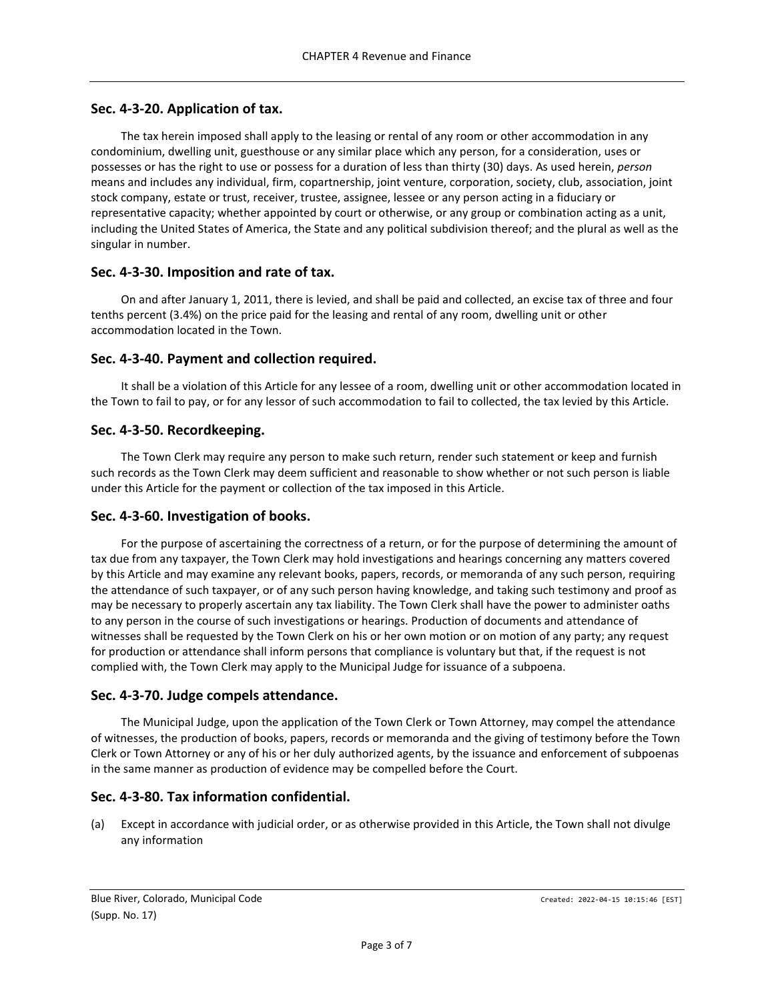## <span id="page-2-0"></span>**Sec. 4-3-20. Application of tax.**

The tax herein imposed shall apply to the leasing or rental of any room or other accommodation in any condominium, dwelling unit, guesthouse or any similar place which any person, for a consideration, uses or possesses or has the right to use or possess for a duration of less than thirty (30) days. As used herein, *person* means and includes any individual, firm, copartnership, joint venture, corporation, society, club, association, joint stock company, estate or trust, receiver, trustee, assignee, lessee or any person acting in a fiduciary or representative capacity; whether appointed by court or otherwise, or any group or combination acting as a unit, including the United States of America, the State and any political subdivision thereof; and the plural as well as the singular in number.

## <span id="page-2-1"></span>**Sec. 4-3-30. Imposition and rate of tax.**

On and after January 1, 2011, there is levied, and shall be paid and collected, an excise tax of three and four tenths percent (3.4%) on the price paid for the leasing and rental of any room, dwelling unit or other accommodation located in the Town.

### <span id="page-2-2"></span>**Sec. 4-3-40. Payment and collection required.**

It shall be a violation of this Article for any lessee of a room, dwelling unit or other accommodation located in the Town to fail to pay, or for any lessor of such accommodation to fail to collected, the tax levied by this Article.

### <span id="page-2-3"></span>**Sec. 4-3-50. Recordkeeping.**

The Town Clerk may require any person to make such return, render such statement or keep and furnish such records as the Town Clerk may deem sufficient and reasonable to show whether or not such person is liable under this Article for the payment or collection of the tax imposed in this Article.

#### <span id="page-2-4"></span>**Sec. 4-3-60. Investigation of books.**

For the purpose of ascertaining the correctness of a return, or for the purpose of determining the amount of tax due from any taxpayer, the Town Clerk may hold investigations and hearings concerning any matters covered by this Article and may examine any relevant books, papers, records, or memoranda of any such person, requiring the attendance of such taxpayer, or of any such person having knowledge, and taking such testimony and proof as may be necessary to properly ascertain any tax liability. The Town Clerk shall have the power to administer oaths to any person in the course of such investigations or hearings. Production of documents and attendance of witnesses shall be requested by the Town Clerk on his or her own motion or on motion of any party; any request for production or attendance shall inform persons that compliance is voluntary but that, if the request is not complied with, the Town Clerk may apply to the Municipal Judge for issuance of a subpoena.

## <span id="page-2-5"></span>**Sec. 4-3-70. Judge compels attendance.**

The Municipal Judge, upon the application of the Town Clerk or Town Attorney, may compel the attendance of witnesses, the production of books, papers, records or memoranda and the giving of testimony before the Town Clerk or Town Attorney or any of his or her duly authorized agents, by the issuance and enforcement of subpoenas in the same manner as production of evidence may be compelled before the Court.

#### <span id="page-2-6"></span>**Sec. 4-3-80. Tax information confidential.**

(a) Except in accordance with judicial order, or as otherwise provided in this Article, the Town shall not divulge any information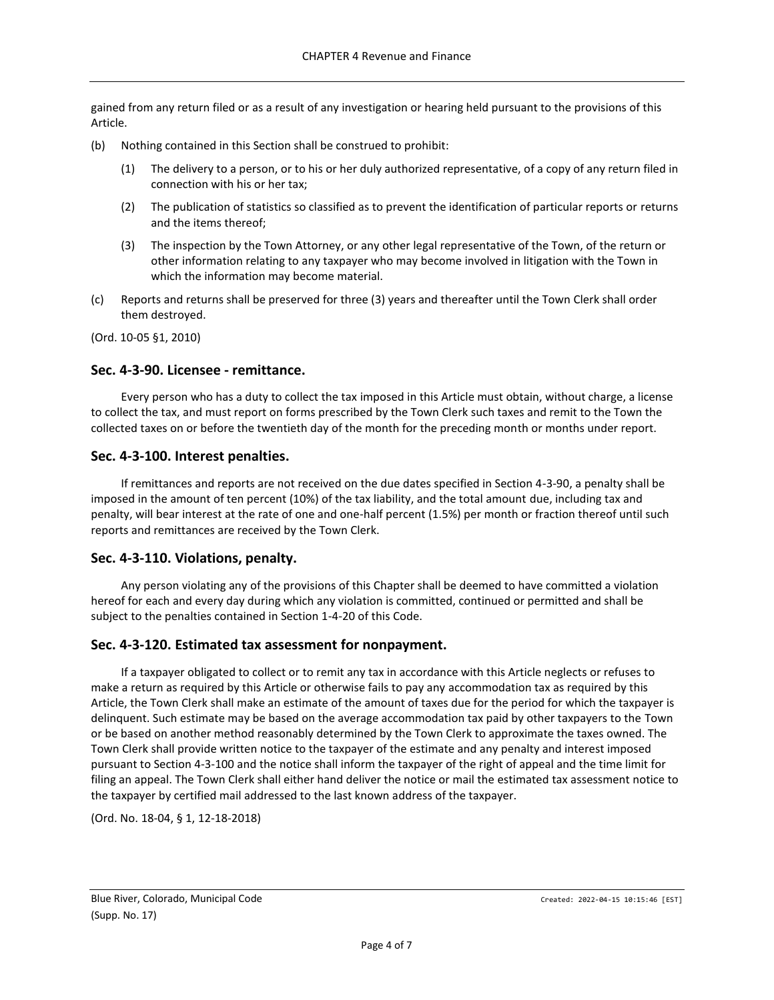gained from any return filed or as a result of any investigation or hearing held pursuant to the provisions of this Article.

- (b) Nothing contained in this Section shall be construed to prohibit:
	- (1) The delivery to a person, or to his or her duly authorized representative, of a copy of any return filed in connection with his or her tax;
	- (2) The publication of statistics so classified as to prevent the identification of particular reports or returns and the items thereof;
	- (3) The inspection by the Town Attorney, or any other legal representative of the Town, of the return or other information relating to any taxpayer who may become involved in litigation with the Town in which the information may become material.
- (c) Reports and returns shall be preserved for three (3) years and thereafter until the Town Clerk shall order them destroyed.

(Ord. 10-05 §1, 2010)

## <span id="page-3-0"></span>**Sec. 4-3-90. Licensee - remittance.**

Every person who has a duty to collect the tax imposed in this Article must obtain, without charge, a license to collect the tax, and must report on forms prescribed by the Town Clerk such taxes and remit to the Town the collected taxes on or before the twentieth day of the month for the preceding month or months under report.

### <span id="page-3-1"></span>**Sec. 4-3-100. Interest penalties.**

If remittances and reports are not received on the due dates specified in Section 4-3-90, a penalty shall be imposed in the amount of ten percent (10%) of the tax liability, and the total amount due, including tax and penalty, will bear interest at the rate of one and one-half percent (1.5%) per month or fraction thereof until such reports and remittances are received by the Town Clerk.

## <span id="page-3-2"></span>**Sec. 4-3-110. Violations, penalty.**

Any person violating any of the provisions of this Chapter shall be deemed to have committed a violation hereof for each and every day during which any violation is committed, continued or permitted and shall be subject to the penalties contained in Section 1-4-20 of this Code.

## <span id="page-3-3"></span>**Sec. 4-3-120. Estimated tax assessment for nonpayment.**

If a taxpayer obligated to collect or to remit any tax in accordance with this Article neglects or refuses to make a return as required by this Article or otherwise fails to pay any accommodation tax as required by this Article, the Town Clerk shall make an estimate of the amount of taxes due for the period for which the taxpayer is delinquent. Such estimate may be based on the average accommodation tax paid by other taxpayers to the Town or be based on another method reasonably determined by the Town Clerk to approximate the taxes owned. The Town Clerk shall provide written notice to the taxpayer of the estimate and any penalty and interest imposed pursuant to Section 4-3-100 and the notice shall inform the taxpayer of the right of appeal and the time limit for filing an appeal. The Town Clerk shall either hand deliver the notice or mail the estimated tax assessment notice to the taxpayer by certified mail addressed to the last known address of the taxpayer.

(Ord. No. 18-04, § 1, 12-18-2018)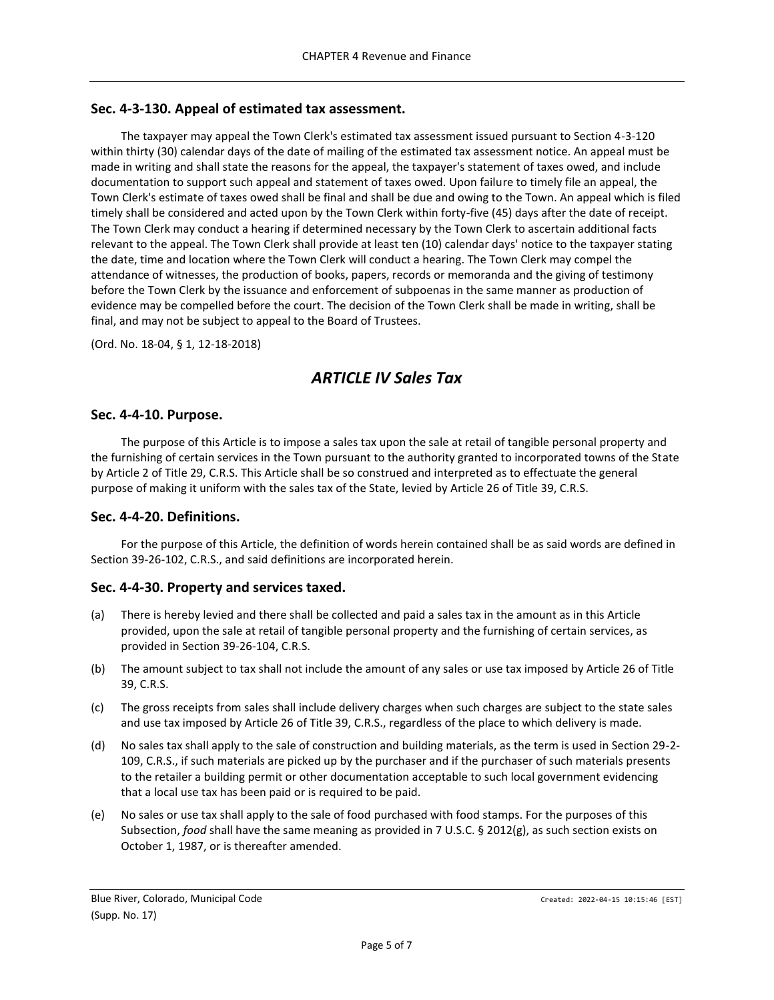## <span id="page-4-0"></span>**Sec. 4-3-130. Appeal of estimated tax assessment.**

The taxpayer may appeal the Town Clerk's estimated tax assessment issued pursuant to Section 4-3-120 within thirty (30) calendar days of the date of mailing of the estimated tax assessment notice. An appeal must be made in writing and shall state the reasons for the appeal, the taxpayer's statement of taxes owed, and include documentation to support such appeal and statement of taxes owed. Upon failure to timely file an appeal, the Town Clerk's estimate of taxes owed shall be final and shall be due and owing to the Town. An appeal which is filed timely shall be considered and acted upon by the Town Clerk within forty-five (45) days after the date of receipt. The Town Clerk may conduct a hearing if determined necessary by the Town Clerk to ascertain additional facts relevant to the appeal. The Town Clerk shall provide at least ten (10) calendar days' notice to the taxpayer stating the date, time and location where the Town Clerk will conduct a hearing. The Town Clerk may compel the attendance of witnesses, the production of books, papers, records or memoranda and the giving of testimony before the Town Clerk by the issuance and enforcement of subpoenas in the same manner as production of evidence may be compelled before the court. The decision of the Town Clerk shall be made in writing, shall be final, and may not be subject to appeal to the Board of Trustees.

<span id="page-4-1"></span>(Ord. No. 18-04, § 1, 12-18-2018)

# *ARTICLE IV Sales Tax*

#### <span id="page-4-2"></span>**Sec. 4-4-10. Purpose.**

The purpose of this Article is to impose a sales tax upon the sale at retail of tangible personal property and the furnishing of certain services in the Town pursuant to the authority granted to incorporated towns of the State by Article 2 of Title 29, C.R.S. This Article shall be so construed and interpreted as to effectuate the general purpose of making it uniform with the sales tax of the State, levied by Article 26 of Title 39, C.R.S.

#### <span id="page-4-3"></span>**Sec. 4-4-20. Definitions.**

For the purpose of this Article, the definition of words herein contained shall be as said words are defined in Section 39-26-102, C.R.S., and said definitions are incorporated herein.

#### <span id="page-4-4"></span>**Sec. 4-4-30. Property and services taxed.**

- (a) There is hereby levied and there shall be collected and paid a sales tax in the amount as in this Article provided, upon the sale at retail of tangible personal property and the furnishing of certain services, as provided in Section 39-26-104, C.R.S.
- (b) The amount subject to tax shall not include the amount of any sales or use tax imposed by Article 26 of Title 39, C.R.S.
- (c) The gross receipts from sales shall include delivery charges when such charges are subject to the state sales and use tax imposed by Article 26 of Title 39, C.R.S., regardless of the place to which delivery is made.
- (d) No sales tax shall apply to the sale of construction and building materials, as the term is used in Section 29-2- 109, C.R.S., if such materials are picked up by the purchaser and if the purchaser of such materials presents to the retailer a building permit or other documentation acceptable to such local government evidencing that a local use tax has been paid or is required to be paid.
- (e) No sales or use tax shall apply to the sale of food purchased with food stamps. For the purposes of this Subsection, *food* shall have the same meaning as provided in 7 U.S.C. § 2012(g), as such section exists on October 1, 1987, or is thereafter amended.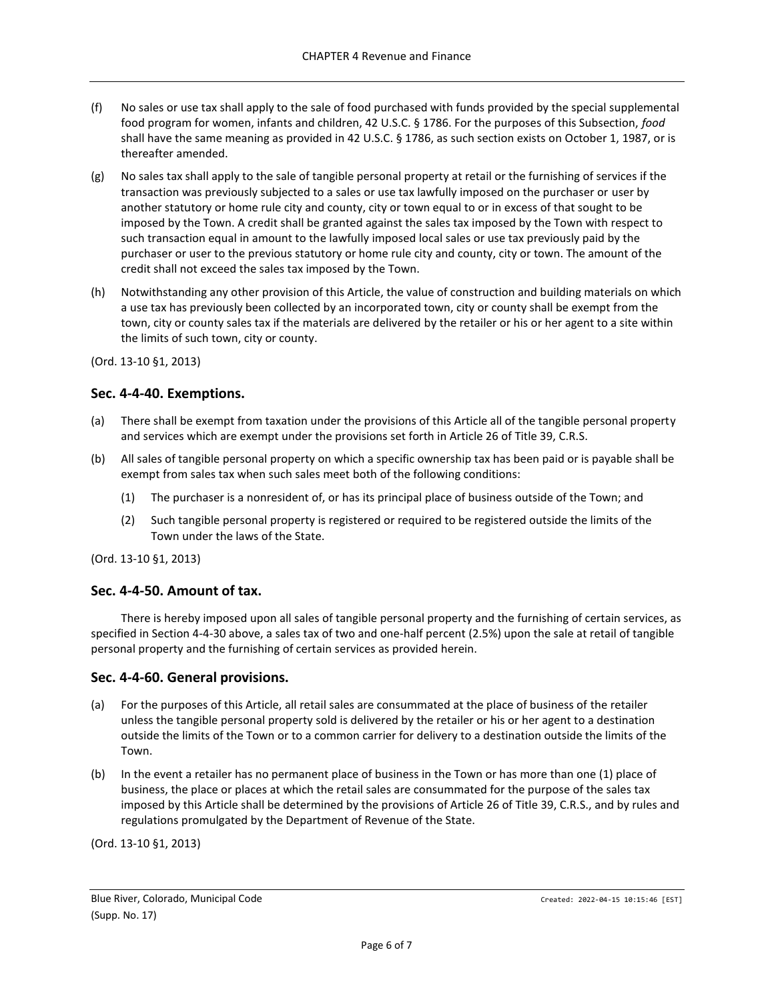- (f) No sales or use tax shall apply to the sale of food purchased with funds provided by the special supplemental food program for women, infants and children, 42 U.S.C. § 1786. For the purposes of this Subsection, *food* shall have the same meaning as provided in 42 U.S.C. § 1786, as such section exists on October 1, 1987, or is thereafter amended.
- (g) No sales tax shall apply to the sale of tangible personal property at retail or the furnishing of services if the transaction was previously subjected to a sales or use tax lawfully imposed on the purchaser or user by another statutory or home rule city and county, city or town equal to or in excess of that sought to be imposed by the Town. A credit shall be granted against the sales tax imposed by the Town with respect to such transaction equal in amount to the lawfully imposed local sales or use tax previously paid by the purchaser or user to the previous statutory or home rule city and county, city or town. The amount of the credit shall not exceed the sales tax imposed by the Town.
- (h) Notwithstanding any other provision of this Article, the value of construction and building materials on which a use tax has previously been collected by an incorporated town, city or county shall be exempt from the town, city or county sales tax if the materials are delivered by the retailer or his or her agent to a site within the limits of such town, city or county.

(Ord. 13-10 §1, 2013)

### <span id="page-5-0"></span>**Sec. 4-4-40. Exemptions.**

- (a) There shall be exempt from taxation under the provisions of this Article all of the tangible personal property and services which are exempt under the provisions set forth in Article 26 of Title 39, C.R.S.
- (b) All sales of tangible personal property on which a specific ownership tax has been paid or is payable shall be exempt from sales tax when such sales meet both of the following conditions:
	- (1) The purchaser is a nonresident of, or has its principal place of business outside of the Town; and
	- (2) Such tangible personal property is registered or required to be registered outside the limits of the Town under the laws of the State.

(Ord. 13-10 §1, 2013)

#### <span id="page-5-1"></span>**Sec. 4-4-50. Amount of tax.**

There is hereby imposed upon all sales of tangible personal property and the furnishing of certain services, as specified in Section 4-4-30 above, a sales tax of two and one-half percent (2.5%) upon the sale at retail of tangible personal property and the furnishing of certain services as provided herein.

#### <span id="page-5-2"></span>**Sec. 4-4-60. General provisions.**

- (a) For the purposes of this Article, all retail sales are consummated at the place of business of the retailer unless the tangible personal property sold is delivered by the retailer or his or her agent to a destination outside the limits of the Town or to a common carrier for delivery to a destination outside the limits of the Town.
- (b) In the event a retailer has no permanent place of business in the Town or has more than one (1) place of business, the place or places at which the retail sales are consummated for the purpose of the sales tax imposed by this Article shall be determined by the provisions of Article 26 of Title 39, C.R.S., and by rules and regulations promulgated by the Department of Revenue of the State.

(Ord. 13-10 §1, 2013)

Blue River, Colorado, Municipal Code Created: 2022-04-15 10:15:46 [EST] (Supp. No. 17)